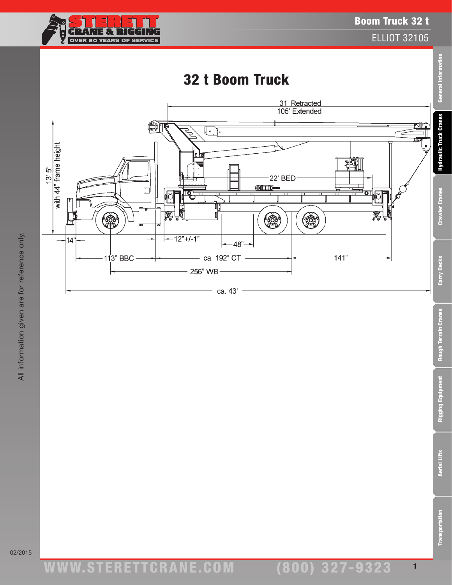

ELLIOT 32105

### 32 t Boom Truck

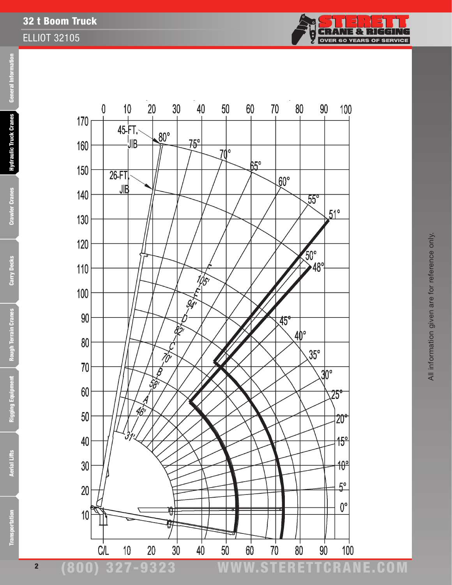



**Transportation** 



2

#### (800) 327-9323 www.STERETTCRAnE.Com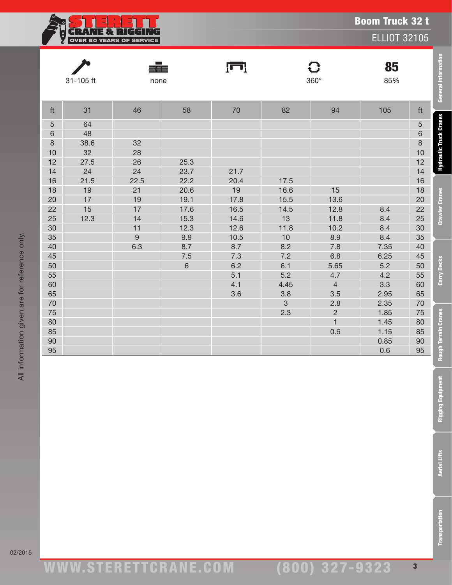**CRANE & RIGGING**<br>OVER 60 YEARS OF SERVICE ģ

ELLIOT 32105

|         |           | ≢          |         | Įш   |              | $\mathbf{C}$   | 85   |         |
|---------|-----------|------------|---------|------|--------------|----------------|------|---------|
|         | 31-105 ft | none       |         |      |              | $360^\circ$    | 85%  |         |
|         |           |            |         |      |              |                |      |         |
| ft      | 31        | 46         | 58      | 70   | 82           | 94             | 105  | ft      |
| 5       | 64        |            |         |      |              |                |      | 5       |
| 6       | 48        |            |         |      |              |                |      | 6       |
| $\,8\,$ | 38.6      | 32         |         |      |              |                |      | $\,8\,$ |
| 10      | 32        | 28         |         |      |              |                |      | $10$    |
| 12      | 27.5      | 26         | 25.3    |      |              |                |      | 12      |
| 14      | 24        | 24         | 23.7    | 21.7 |              |                |      | 14      |
| 16      | 21.5      | 22.5       | 22.2    | 20.4 | 17.5         |                |      | 16      |
| 18      | 19        | 21         | 20.6    | 19   | 16.6         | 15             |      | $18$    |
| 20      | 17        | 19         | 19.1    | 17.8 | 15.5         | 13.6           |      | $20\,$  |
| 22      | 15        | 17         | 17.6    | 16.5 | 14.5         | 12.8           | 8.4  | $22\,$  |
| 25      | 12.3      | 14         | 15.3    | 14.6 | 13           | 11.8           | 8.4  | $25\,$  |
| 30      |           | 11         | 12.3    | 12.6 | 11.8         | 10.2           | 8.4  | $30\,$  |
| 35      |           | $\hbox{9}$ | 9.9     | 10.5 | 10           | 8.9            | 8.4  | 35      |
| 40      |           | 6.3        | 8.7     | 8.7  | 8.2          | 7.8            | 7.35 | $40\,$  |
| 45      |           |            | $7.5\,$ | 7.3  | 7.2          | 6.8            | 6.25 | 45      |
| 50      |           |            | $\,6\,$ | 6.2  | 6.1          | 5.65           | 5.2  | 50      |
| 55      |           |            |         | 5.1  | 5.2          | 4.7            | 4.2  | 55      |
| 60      |           |            |         | 4.1  | 4.45         | $\overline{4}$ | 3.3  | 60      |
| 65      |           |            |         | 3.6  | 3.8          | 3.5            | 2.95 | 65      |
| 70      |           |            |         |      | $\mathbf{3}$ | 2.8            | 2.35 | 70      |
| 75      |           |            |         |      | 2.3          | $\sqrt{2}$     | 1.85 | 75      |
| 80      |           |            |         |      |              | $\mathbf{1}$   | 1.45 | 80      |
| 85      |           |            |         |      |              | 0.6            | 1.15 | 85      |
| $90\,$  |           |            |         |      |              |                | 0.85 | $90\,$  |
| 95      |           |            |         |      |              |                | 0.6  | 95      |

**Aerial Lifts** 

**Transportation** 

Transportation Aerial Lifts Rigging Equipment Rough Terrain Cranes Carry Decks Crawler Cranes Hydraulic Truck Cranes General Information

**Rough Terrain Cranes** 

**Rigging Equipment** 

Carry Decks

**General Information** 

**Hydraulic Truck Cranes** 

**Crawler Cranes**